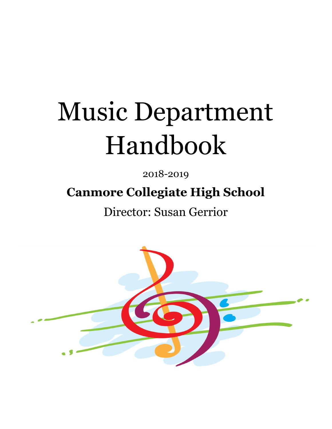# Music Department Handbook

2018-2019 **Canmore Collegiate High School**

Director: Susan Gerrior

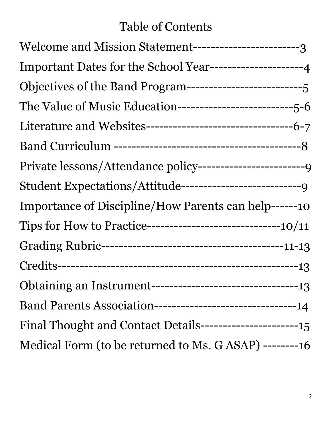# Table of Contents

| Welcome and Mission Statement-------------------------3      |
|--------------------------------------------------------------|
|                                                              |
|                                                              |
|                                                              |
|                                                              |
|                                                              |
|                                                              |
|                                                              |
| Importance of Discipline/How Parents can help------10        |
|                                                              |
|                                                              |
|                                                              |
|                                                              |
| Band Parents Association----------------------------------14 |
|                                                              |
| Medical Form (to be returned to Ms. G ASAP) --------16       |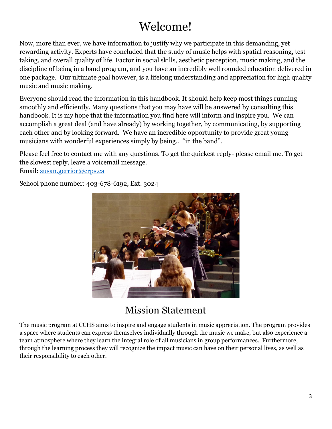# Welcome!

Now, more than ever, we have information to justify why we participate in this demanding, yet rewarding activity. Experts have concluded that the study of music helps with spatial reasoning, test taking, and overall quality of life. Factor in social skills, aesthetic perception, music making, and the discipline of being in a band program, and you have an incredibly well rounded education delivered in one package. Our ultimate goal however, is a lifelong understanding and appreciation for high quality music and music making.

Everyone should read the information in this handbook. It should help keep most things running smoothly and efficiently. Many questions that you may have will be answered by consulting this handbook. It is my hope that the information you find here will inform and inspire you. We can accomplish a great deal (and have already) by working together, by communicating, by supporting each other and by looking forward. We have an incredible opportunity to provide great young musicians with wonderful experiences simply by being… "in the band".

Please feel free to contact me with any questions. To get the quickest reply- please email me. To get the slowest reply, leave a voicemail message. Email: [susan.gerrior@crps.ca](mailto:susan.gerrior@crps.ca)

School phone number: 403-678-6192, Ext. 3024



# Mission Statement

The music program at CCHS aims to inspire and engage students in music appreciation. The program provides a space where students can express themselves individually through the music we make, but also experience a team atmosphere where they learn the integral role of all musicians in group performances. Furthermore, through the learning process they will recognize the impact music can have on their personal lives, as well as their responsibility to each other.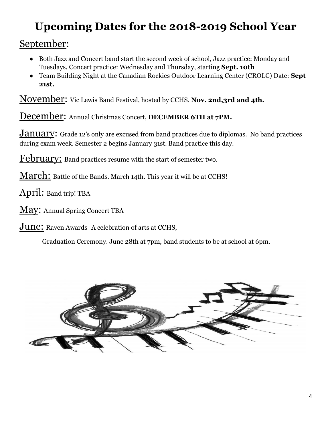# **Upcoming Dates for the 2018-2019 School Year**

September:

- Both Jazz and Concert band start the second week of school, Jazz practice: Monday and Tuesdays, Concert practice: Wednesday and Thursday, starting **Sept. 10th**
- Team Building Night at the Canadian Rockies Outdoor Learning Center (CROLC) Date: **Sept 21st.**

November: Vic Lewis Band Festival, hosted by CCHS. **Nov. 2nd,3rd and 4th.**

December: Annual Christmas Concert, **DECEMBER 6TH at 7PM.**

**January:** Grade 12's only are excused from band practices due to diplomas. No band practices during exam week. Semester 2 begins January 31st. Band practice this day.

February: Band practices resume with the start of semester two.

March: Battle of the Bands. March 14th. This year it will be at CCHS!

April: Band trip! TBA

May: Annual Spring Concert TBA

June: Raven Awards- A celebration of arts at CCHS,

Graduation Ceremony. June 28th at 7pm, band students to be at school at 6pm.

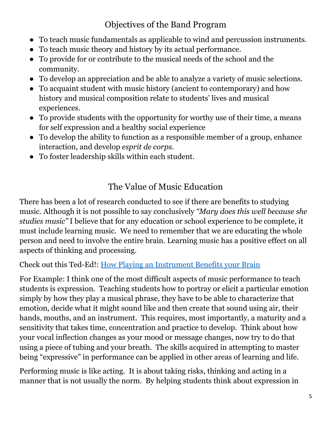## Objectives of the Band Program

- To teach music fundamentals as applicable to wind and percussion instruments.
- To teach music theory and history by its actual performance.
- To provide for or contribute to the musical needs of the school and the community.
- To develop an appreciation and be able to analyze a variety of music selections.
- To acquaint student with music history (ancient to contemporary) and how history and musical composition relate to students' lives and musical experiences.
- To provide students with the opportunity for worthy use of their time, a means for self expression and a healthy social experience
- To develop the ability to function as a responsible member of a group, enhance interaction, and develop *esprit de corps.*
- To foster leadership skills within each student.

## The Value of Music Education

There has been a lot of research conducted to see if there are benefits to studying music. Although it is not possible to say conclusively *"Mary does this well because she studies music"* I believe that for any education or school experience to be complete, it must include learning music. We need to remember that we are educating the whole person and need to involve the entire brain. Learning music has a positive effect on all aspects of thinking and processing.

Check out this Ted-Ed!: How Playing an [Instrument](https://www.youtube.com/watch?v=R0JKCYZ8hng) Benefits your Brain

For Example: I think one of the most difficult aspects of music performance to teach students is expression. Teaching students how to portray or elicit a particular emotion simply by how they play a musical phrase, they have to be able to characterize that emotion, decide what it might sound like and then create that sound using air, their hands, mouths, and an instrument. This requires, most importantly, a maturity and a sensitivity that takes time, concentration and practice to develop. Think about how your vocal inflection changes as your mood or message changes, now try to do that using a piece of tubing and your breath. The skills acquired in attempting to master being "expressive" in performance can be applied in other areas of learning and life.

Performing music is like acting. It is about taking risks, thinking and acting in a manner that is not usually the norm. By helping students think about expression in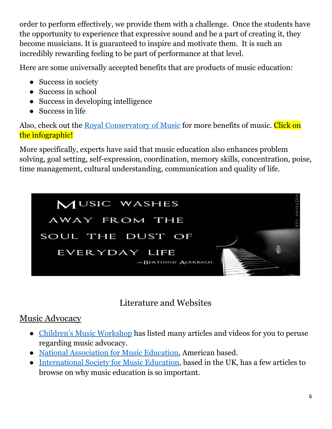order to perform effectively, we provide them with a challenge. Once the students have the opportunity to experience that expressive sound and be a part of creating it, they become musicians. It is guaranteed to inspire and motivate them. It is such an incredibly rewarding feeling to be part of performance at that level.

Here are some universally accepted benefits that are products of music education:

- Success in society
- Success in school
- Success in developing intelligence
- Success in life

Also, check out the Royal [Conservatory](https://www.rcmusic.com/learning/about-our-program/why-study-music) of Music for more benefits of music. Click on the infographic!

More specifically, experts have said that music education also enhances problem solving, goal setting, self-expression, coordination, memory skills, concentration, poise, time management, cultural understanding, communication and quality of life.



Literature and Websites

#### Music Advocacy

- Children's Music [Workshop](http://www.childrensmusicworkshop.com/advocacy/) has listed many articles and videos for you to peruse regarding music advocacy.
- National [Association](http://www.nafme.org/advocacy/broader-minded/) for Music Education, American based.
- [International](https://www.isme.org/music-education) Society for Music Education, based in the UK, has a few articles to browse on why music education is so important.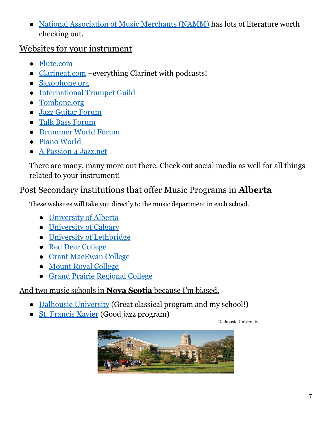National [Association](https://www.nammfoundation.org/) of Music Merchants (NAMM) has lots of literature worth checking out.

#### Websites for your instrument

- [Flute.com](http://flute.com/)
- [Clarineat.com](http://clarineat.com/) –everything Clarinet with podcasts!
- [Saxophone.org](http://www.saxophone.org/)
- [International](http://www.trumpetguild.org/) Trumpet Guild
- [Tombone.org](http://trombone.org/articles/browse.asp)
- Jazz Guitar [Forum](http://www.jazzguitar.be/forum/)
- Talk Bass [Forum](https://www.talkbass.com/)
- [Drummer](http://drummerworld.com/forums/showthread.php?t=82134) World Forum
- Piano [World](http://www.pianoworld.com/)
- A Passion 4 [Jazz.net](https://www.apassion4jazz.net/)

There are many, many more out there. Check out social media as well for all things related to your instrument!

#### Post Secondary institutions that offer Music Programs in **Alberta**

These websites will take you directly to the music department in each school.

- [University](https://www.ualberta.ca/music) of Alberta
- [University](http://scpa.ucalgary.ca/music/welcome-music) of Calgary
- University of [Lethbridge](http://www.uleth.ca/finearts/music)
- Red Deer [College](http://rdc.ab.ca/programs/music-diploma)
- Grant [MacEwan](http://www.macewan.ca/wcm/SchoolsFaculties/FFAC/Programs/Music/) College
- Mount Royal [College](http://www.mtroyal.ca/ProgramsCourses/FacultiesSchoolsCentres/TheConservatory/)
- Grand Prairie [Regional](https://www.gprc.ab.ca/departments/finearts/music.html) College

#### And two music schools in **Nova Scotia** because I'm biased.

- Dalhousie [University](https://www.dal.ca/faculty/arts/school-of-performing-arts/faculty-staff/our-faculty.html) (Great classical program and my school!)
- St. [Francis](https://www.stfx.ca/academics/arts/music) Xavier (Good jazz program)

Dalhousie University

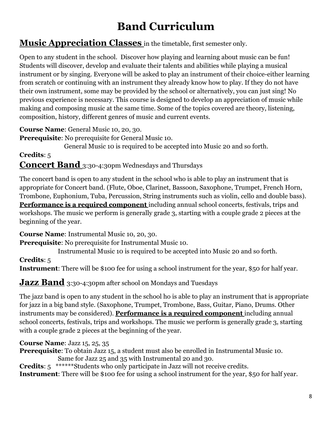# **Band Curriculum**

#### **Music Appreciation Classes** in the timetable, first semester only.

Open to any student in the school. Discover how playing and learning about music can be fun! Students will discover, develop and evaluate their talents and abilities while playing a musical instrument or by singing. Everyone will be asked to play an instrument of their choice-either learning from scratch or continuing with an instrument they already know how to play. If they do not have their own instrument, some may be provided by the school or alternatively, you can just sing! No previous experience is necessary. This course is designed to develop an appreciation of music while making and composing music at the same time. Some of the topics covered are theory, listening, composition, history, different genres of music and current events.

**Course Name**: General Music 10, 20, 30.

**Prerequisite**: No prerequisite for General Music 10.

General Music 10 is required to be accepted into Music 20 and so forth.

#### **Credits**: 5 **Concert Band** 3:30-4:30pm Wednesdays and Thursdays

The concert band is open to any student in the school who is able to play an instrument that is appropriate for Concert band. (Flute, Oboe, Clarinet, Bassoon, Saxophone, Trumpet, French Horn, Trombone, Euphonium, Tuba, Percussion, String instruments such as violin, cello and double bass). **Performance is a required component** including annual school concerts, festivals, trips and workshops. The music we perform is generally grade 3, starting with a couple grade 2 pieces at the beginning of the year.

**Course Name**: Instrumental Music 10, 20, 30.

**Prerequisite**: No prerequisite for Instrumental Music 10.

Instrumental Music 10 is required to be accepted into Music 20 and so forth.

#### **Credits**: 5

**Instrument**: There will be \$100 fee for using a school instrument for the year, \$50 for half year.

#### **Jazz Band** 3:30-4:30pm after school on Mondays and Tuesdays

The jazz band is open to any student in the school ho is able to play an instrument that is appropriate for jazz in a big band style. (Saxophone, Trumpet, Trombone, Bass, Guitar, Piano, Drums. Other instruments may be considered). **Performance is a required component** including annual school concerts, festivals, trips and workshops. The music we perform is generally grade 3, starting with a couple grade 2 pieces at the beginning of the year.

#### **Course Name**: Jazz 15, 25, 35

**Prerequisite**: To obtain Jazz 15, a student must also be enrolled in Instrumental Music 10. Same for Jazz 25 and 35 with Instrumental 20 and 30.

**Credits**: 5 \*\*\*\*\*\*Students who only participate in Jazz will not receive credits. **Instrument**: There will be \$100 fee for using a school instrument for the year, \$50 for half year.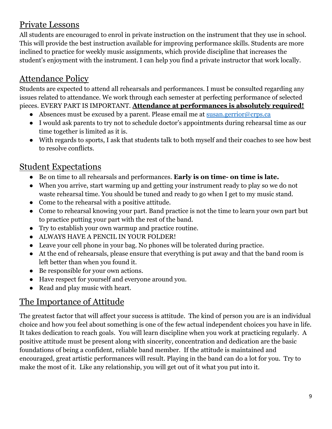#### Private Lessons

All students are encouraged to enrol in private instruction on the instrument that they use in school. This will provide the best instruction available for improving performance skills. Students are more inclined to practice for weekly music assignments, which provide discipline that increases the student's enjoyment with the instrument. I can help you find a private instructor that work locally.

# Attendance Policy

Students are expected to attend all rehearsals and performances. I must be consulted regarding any issues related to attendance. We work through each semester at perfecting performance of selected pieces. EVERY PART IS IMPORTANT. **Attendance at performances is absolutely required!**

- Absences must be excused by a parent. Please email me at [susan.gerrior@crps.ca](mailto:susan.gerrior@crps.ca)
- I would ask parents to try not to schedule doctor's appointments during rehearsal time as our time together is limited as it is.
- With regards to sports, I ask that students talk to both myself and their coaches to see how best to resolve conflicts.

#### Student Expectations

- Be on time to all rehearsals and performances. **Early is on time- on time is late.**
- When you arrive, start warming up and getting your instrument ready to play so we do not waste rehearsal time. You should be tuned and ready to go when I get to my music stand.
- Come to the rehearsal with a positive attitude.
- Come to rehearsal knowing your part. Band practice is not the time to learn your own part but to practice putting your part with the rest of the band.
- Try to establish your own warmup and practice routine.
- ALWAYS HAVE A PENCIL IN YOUR FOLDER!
- Leave your cell phone in your bag. No phones will be tolerated during practice.
- At the end of rehearsals, please ensure that everything is put away and that the band room is left better than when you found it.
- Be responsible for your own actions.
- Have respect for yourself and everyone around you.
- Read and play music with heart.

## The Importance of Attitude

The greatest factor that will affect your success is attitude. The kind of person you are is an individual choice and how you feel about something is one of the few actual independent choices you have in life. It takes dedication to reach goals. You will learn discipline when you work at practicing regularly. A positive attitude must be present along with sincerity, concentration and dedication are the basic foundations of being a confident, reliable band member. If the attitude is maintained and encouraged, great artistic performances will result. Playing in the band can do a lot for you. Try to make the most of it. Like any relationship, you will get out of it what you put into it.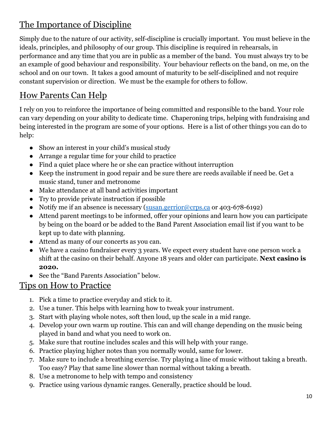## The Importance of Discipline

Simply due to the nature of our activity, self-discipline is crucially important. You must believe in the ideals, principles, and philosophy of our group. This discipline is required in rehearsals, in performance and any time that you are in public as a member of the band. You must always try to be an example of good behaviour and responsibility. Your behaviour reflects on the band, on me, on the school and on our town. It takes a good amount of maturity to be self-disciplined and not require constant supervision or direction. We must be the example for others to follow.

## How Parents Can Help

I rely on you to reinforce the importance of being committed and responsible to the band. Your role can vary depending on your ability to dedicate time. Chaperoning trips, helping with fundraising and being interested in the program are some of your options. Here is a list of other things you can do to help:

- Show an interest in your child's musical study
- Arrange a regular time for your child to practice
- Find a quiet place where he or she can practice without interruption
- Keep the instrument in good repair and be sure there are reeds available if need be. Get a music stand, tuner and metronome
- Make attendance at all band activities important
- Try to provide private instruction if possible
- Notify me if an absence is necessary ([susan.gerrior@crps.ca](mailto:susan.gerrior@crps.ca) or 403-678-6192)
- Attend parent meetings to be informed, offer your opinions and learn how you can participate by being on the board or be added to the Band Parent Association email list if you want to be kept up to date with planning.
- Attend as many of our concerts as you can.
- We have a casino fundraiser every 3 years. We expect every student have one person work a shift at the casino on their behalf. Anyone 18 years and older can participate. **Next casino is 2020.**
- See the "Band Parents Association" below.

#### Tips on How to Practice

- 1. Pick a time to practice everyday and stick to it.
- 2. Use a tuner. This helps with learning how to tweak your instrument.
- 3. Start with playing whole notes, soft then loud, up the scale in a mid range.
- 4. Develop your own warm up routine. This can and will change depending on the music being played in band and what you need to work on.
- 5. Make sure that routine includes scales and this will help with your range.
- 6. Practice playing higher notes than you normally would, same for lower.
- 7. Make sure to include a breathing exercise. Try playing a line of music without taking a breath. Too easy? Play that same line slower than normal without taking a breath.
- 8. Use a metronome to help with tempo and consistency
- 9. Practice using various dynamic ranges. Generally, practice should be loud.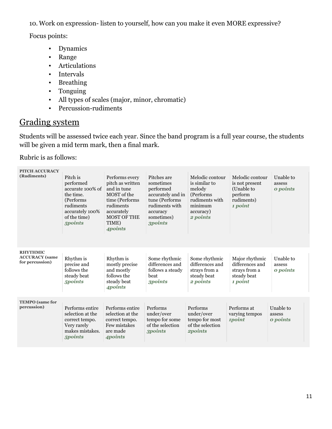10. Work on expression- listen to yourself, how can you make it even MORE expressive?

Focus points:

- Dynamics
- Range
- Articulations
- Intervals
- Breathing
- Tonguing
- All types of scales (major, minor, chromatic)
- Percussion-rudiments

#### Grading system

Students will be assessed twice each year. Since the band program is a full year course, the students will be given a mid term mark, then a final mark.

Rubric is as follows:

| <b>PITCH ACCURACY</b>                                       |                                                                                                                                 |                                                                                                                                                                       |                                                                                                                                            |                                                                                                               |                                                                                     |                                 |
|-------------------------------------------------------------|---------------------------------------------------------------------------------------------------------------------------------|-----------------------------------------------------------------------------------------------------------------------------------------------------------------------|--------------------------------------------------------------------------------------------------------------------------------------------|---------------------------------------------------------------------------------------------------------------|-------------------------------------------------------------------------------------|---------------------------------|
| (Rudiments)                                                 | Pitch is<br>performed<br>accurate 100% of<br>the time.<br>(Performs)<br>rudiments<br>accurately 100%<br>of the time)<br>5points | Performs every<br>pitch as written<br>and in tune<br>MOST of the<br>time (Performs<br>rudiments<br>accurately<br><b>MOST OF THE</b><br>TIME)<br><i><b>Apoints</b></i> | Pitches are<br>sometimes<br>performed<br>accurately and in<br>tune (Performs<br>rudiments with<br>accuracy<br>sometimes)<br><b>3points</b> | Melodic contour<br>is similar to<br>melody<br>(Performs<br>rudiments with<br>minimum<br>accuracy)<br>2 points | Melodic contour<br>is not present<br>(Unable to<br>perform<br>rudiments)<br>1 point | Unable to<br>assess<br>o points |
| <b>RHYTHMIC</b><br><b>ACCURACY</b> (same<br>for percussion) | Rhythm is<br>precise and<br>follows the<br>steady beat<br>5 <i>points</i>                                                       | Rhythm is<br>mostly precise<br>and mostly<br>follows the<br>steady beat<br>4points                                                                                    | Some rhythmic<br>differences and<br>follows a steady<br>beat<br>3 <i>points</i>                                                            | Some rhythmic<br>differences and<br>strays from a<br>steady beat<br>2 points                                  | Major rhythmic<br>differences and<br>strays from a<br>steady beat<br>1 point        | Unable to<br>assess<br>o points |
| <b>TEMPO</b> (same for<br>percussion)                       | Performs entire<br>selection at the<br>correct tempo.<br>Very rarely<br>makes mistakes.<br>5points                              | Performs entire<br>selection at the<br>correct tempo.<br>Few mistakes<br>are made<br>4points                                                                          | Performs<br>under/over<br>tempo for some<br>of the selection<br><b>3points</b>                                                             | Performs<br>under/over<br>tempo for most<br>of the selection<br>2points                                       | Performs at<br>varying tempos<br>1point                                             | Unable to<br>assess<br>o points |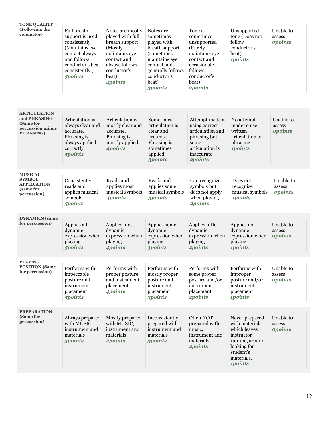| <b>TONE QUALITY</b><br>(Following the<br>conductor)                                       | Full breath<br>support is used<br>consistently.<br>(Maintains eye<br>contact always<br>and follows<br>conductor's beat<br>consistently.)<br>5points | Notes are mostly<br>played with full<br>breath support<br>(Mostly<br>maintains eye<br>contact and<br>always follows<br>conductor's<br>beat)<br>4points | Notes are<br>sometimes<br>played with<br>breath support<br><i>(sometimes)</i><br>maintains eye<br>contact and<br>generally follows<br>conductor's<br>beat)<br><b>3points</b> | Tone is<br>sometimes<br>unsupported<br>(Rarely<br>maintains eye<br>contact and<br>occasionally<br>follows<br>conductor's<br>beat)<br>2points | Unsupported<br>tone (Does not<br>follow<br>conductor's<br>beat)<br><i><b>1points</b></i>                                                            | Unable to<br>assess<br><b>opoints</b> |
|-------------------------------------------------------------------------------------------|-----------------------------------------------------------------------------------------------------------------------------------------------------|--------------------------------------------------------------------------------------------------------------------------------------------------------|------------------------------------------------------------------------------------------------------------------------------------------------------------------------------|----------------------------------------------------------------------------------------------------------------------------------------------|-----------------------------------------------------------------------------------------------------------------------------------------------------|---------------------------------------|
| <b>ARTICULATION</b><br>and PHRASING<br>(Same for<br>percussion minus<br><b>PHRASING</b> ) | Articulation is<br>always clear and<br>accurate.<br>Phrasing is<br>always applied<br>correctly.<br>5points                                          | Articulation is<br>mostly clear and<br>accurate.<br>Phrasing is<br>mostly applied<br>4points                                                           | Sometimes<br>articulation is<br>clear and<br>accurate.<br>Phrasing is<br>sometimes<br>applied<br><b>3points</b>                                                              | Attempt made at<br>using correct<br>articulation and<br>phrasing but<br>some<br>articulation is<br>inaccurate<br>2points                     | No attempt<br>made to use<br>written<br>articulation or<br>phrasing<br><i><b>1points</b></i>                                                        | Unable to<br>assess<br><b>opoints</b> |
| <b>MUSICAL</b><br><b>SYMBOL</b><br><b>APPLICATION</b><br>(same for<br>percussion)         | Consistently<br>reads and<br>applies musical<br>symbols.<br>5 <i>points</i>                                                                         | Reads and<br>applies most<br>musical symbols<br>4points                                                                                                | Reads and<br>applies some<br>musical symbols<br><b>3points</b>                                                                                                               | Can recognize<br>symbols but<br>does not apply<br>when playing<br>2points                                                                    | Does not<br>recognize<br>musical symbols<br><i><b>1points</b></i>                                                                                   | Unable to<br>assess<br><b>opoints</b> |
| <b>DYNAMICS</b> (same<br>for percussion)                                                  | Applies all<br>dynamic<br>expression when<br>playing<br>5points                                                                                     | Applies most<br>dynamic<br>expression when<br>playing.<br><i><b>4points</b></i>                                                                        | Applies some<br>dynamic<br>expression when<br>playing<br><b>3points</b>                                                                                                      | Applies little<br>dynamic<br>expression when<br>playing<br>2points                                                                           | Applies no<br>dynamic<br>expression when<br>playing<br><i><b>1points</b></i>                                                                        | Unable to<br>assess<br><b>opoints</b> |
| <b>PLAYING</b><br><b>POSITION</b> (Same<br>for percussion)                                | Performs with<br>impeccable<br>posture and<br>instrument<br>placement<br>5points                                                                    | Performs with<br>proper posture<br>and instrument<br>placement<br>4points                                                                              | Performs with<br>mostly proper<br>posture and<br>instrument<br>placement<br><b>3points</b>                                                                                   | Performs with<br>some proper<br>posture and/or<br>instrument<br>placement<br>2points                                                         | Performs with<br>improper<br>posture and/or<br>instrument<br>placement<br><i><b>1points</b></i>                                                     | Unable to<br>assess<br><b>opoints</b> |
| <b>PREPARATION</b><br>(Same for<br>percussion)                                            | Always prepared<br>with MUSIC,<br>instrument and<br>materials<br>5points                                                                            | Mostly prepared<br>with MUSIC,<br>instrument and<br>materials<br><i><b>Apoints</b></i>                                                                 | Inconsistently<br>prepared with<br>instrument and<br>materials<br><b>3points</b>                                                                                             | Often NOT<br>prepared with<br>music,<br>instrument and<br>materials<br><b>2points</b>                                                        | Never prepared<br>with materials<br>which leaves<br>instructor<br>running around<br>looking for<br>student's<br>materials.<br><i><b>1points</b></i> | Unable to<br>assess<br><b>opoints</b> |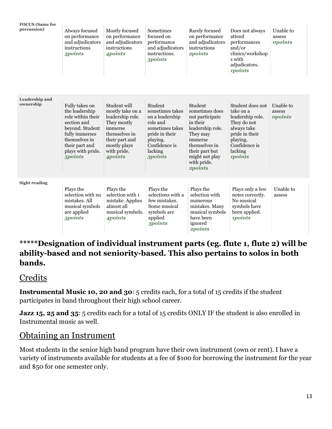| <b>FOCUS</b> (Same for<br>percussion) | Always focused<br>on performance<br>and adjudicators<br>instructions<br>5points                                                                                                      | Mostly focused<br>on performance<br>and adjudicators<br>instructions<br>4points                                                                             | Sometimes<br>focused on<br>performance<br>and adjudicators<br>instructions.<br><b>3points</b>                                                            | Rarely focused<br>on performance<br>and adjudicators<br>instructions<br><b>2points</b>                                                                                                    | Does not always<br>attend<br>performances<br>and/or<br>clinics/workshop<br>s with<br>adjudicators.                                                                 | Unable to<br>assess<br><b>opoints</b> |
|---------------------------------------|--------------------------------------------------------------------------------------------------------------------------------------------------------------------------------------|-------------------------------------------------------------------------------------------------------------------------------------------------------------|----------------------------------------------------------------------------------------------------------------------------------------------------------|-------------------------------------------------------------------------------------------------------------------------------------------------------------------------------------------|--------------------------------------------------------------------------------------------------------------------------------------------------------------------|---------------------------------------|
|                                       |                                                                                                                                                                                      |                                                                                                                                                             |                                                                                                                                                          |                                                                                                                                                                                           | <i><b>1points</b></i>                                                                                                                                              |                                       |
| Leadership and<br>ownership           | Fully takes on<br>the leadership<br>role within their<br>section and<br>beyond. Student<br>fully immerses<br>themselves in<br>their part and<br>plays with pride.<br>5 <i>points</i> | Student will<br>mostly take on a<br>leadership role.<br>They mostly<br>immerse<br>themselves in<br>their part and<br>mostly plays<br>with pride.<br>4points | Student<br>sometimes takes<br>on a leadership<br>role and<br>sometimes takes<br>pride in their<br>playing.<br>Confidence is<br>lacking<br><b>3points</b> | Student<br>sometimes does<br>not participate<br>in their<br>leadership role.<br>They may<br>immerse<br>themselves in<br>their part but<br>might not play<br>with pride.<br><b>2points</b> | Student does not<br>take on a<br>leadership role.<br>They do not<br>always take<br>pride in their<br>playing.<br>Confidence is<br>lacking<br><i><b>1points</b></i> | Unable to<br>assess<br><b>opoints</b> |
| <b>Sight reading</b>                  | Plays the<br>selection with no<br>mistakes. All<br>musical symbols<br>are applied<br>5 <i>points</i>                                                                                 | Plays the<br>selection with 1<br>mistake. Applies<br>almost all<br>musical symbols.<br>4points                                                              | Plays the<br>selections with a<br>few mistakes.<br>Some musical<br>symbols are<br>applied<br>3 <i>points</i>                                             | Plays the<br>selection with<br>numerous<br>mistakes. Many<br>musical symbols<br>have been<br>ignored<br><b>2points</b>                                                                    | Plays only a few<br>notes correctly.<br>No musical<br>symbols have<br>been applied.<br><i><b>1points</b></i>                                                       | Unable to<br>assess                   |

#### **\*\*\*\*\*Designation of individual instrument parts (eg. flute 1, flute 2) will be ability-based and not seniority-based. This also pertains to solos in both bands.**

#### Credits

**Instrumental Music 10, 20 and 30**: 5 credits each, for a total of 15 credits if the student participates in band throughout their high school career.

**Jazz 15, 25 and 35:** 5 credits each for a total of 15 credits ONLY IF the student is also enrolled in Instrumental music as well.

#### Obtaining an Instrument

Most students in the senior high band program have their own instrument (own or rent). I have a variety of instruments available for students at a fee of \$100 for borrowing the instrument for the year and \$50 for one semester only.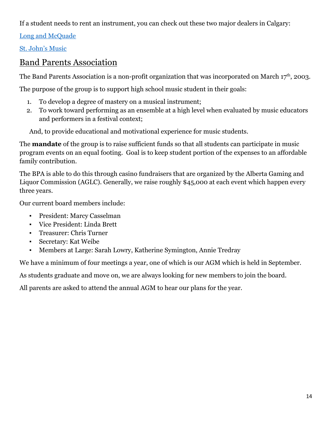If a student needs to rent an instrument, you can check out these two major dealers in Calgary:

[Long and McQuade](https://www.long-mcquade.com/location/Alberta/Calgary/)

[St. John's Music](http://www.stjohnsmusic.com/rentals/)

#### Band Parents Association

The Band Parents Association is a non-profit organization that was incorporated on March  $17<sup>th</sup>$ , 2003.

The purpose of the group is to support high school music student in their goals:

- 1. To develop a degree of mastery on a musical instrument;
- 2. To work toward performing as an ensemble at a high level when evaluated by music educators and performers in a festival context;

And, to provide educational and motivational experience for music students.

The **mandate** of the group is to raise sufficient funds so that all students can participate in music program events on an equal footing. Goal is to keep student portion of the expenses to an affordable family contribution.

The BPA is able to do this through casino fundraisers that are organized by the Alberta Gaming and Liquor Commission (AGLC). Generally, we raise roughly \$45,000 at each event which happen every three years.

Our current board members include:

- President: Marcy Casselman
- Vice President: Linda Brett
- Treasurer: Chris Turner
- Secretary: Kat Weibe
- Members at Large: Sarah Lowry, Katherine Symington, Annie Tredray

We have a minimum of four meetings a year, one of which is our AGM which is held in September.

As students graduate and move on, we are always looking for new members to join the board.

All parents are asked to attend the annual AGM to hear our plans for the year.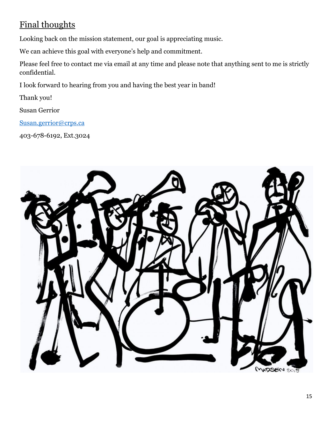# Final thoughts

Looking back on the mission statement, our goal is appreciating music.

We can achieve this goal with everyone's help and commitment.

Please feel free to contact me via email at any time and please note that anything sent to me is strictly confidential.

I look forward to hearing from you and having the best year in band!

Thank you!

Susan Gerrior

[Susan.gerrior@crps.ca](mailto:Susan.gerrior@crps.ca)

403-678-6192, Ext.3024